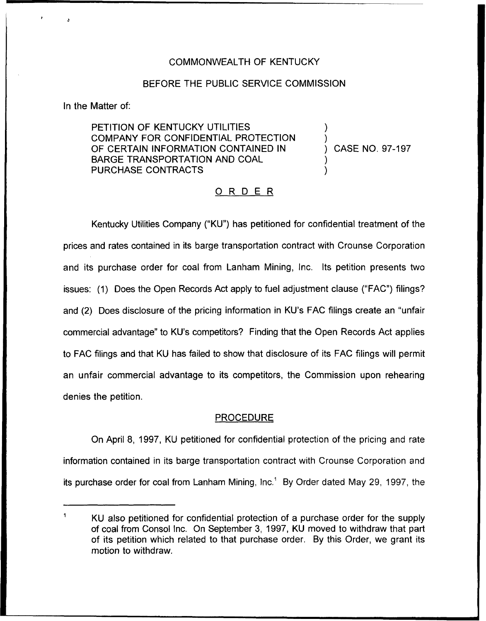# COMMONWEALTH OF KENTUCKY

## BEFORE THE PUBLIC SERVICE COMMISSION

In the Matter of:

PETITION OF KENTUCKY UTILITIES COMPANY FOR CONFIDENTIAL PROTECTION OF CERTAIN INFORMATION CONTAINED IN BARGE TRANSPORTATION AND COAL PURCHASE CONTRACTS

) CASE NO. 97-197

) )

) )

# ORDER

Kentucky Utilities Company ("KU") has petitioned for confidential treatment of the prices and rates contained in its barge transportation contract with Crounse Corporation and its purchase order for coal from Lanham Mining, Inc. Its petition presents two issues: (1) Does the Open Records Act apply to fuel adjustment clause ("FAC") filings? and (2) Does disclosure of the pricing information in KU's FAC filings create an "unfair commercial advantage" to KU's competitors? Finding that the Open Records Act applies to FAC filings and that KU has failed to show that disclosure of its FAC filings will permit an unfair commercial advantage to its competitors, the Commission upon rehearing denies the petition.

### **PROCEDURE**

On April 8, 1997, KU petitioned for confidential protection of the pricing and rate information contained in its barge transportation contract with Crounse Corporation and its purchase order for coal from Lanham Mining,  $Inc<sup>1</sup>$  By Order dated May 29, 1997, the

KU also petitioned for confidential protection of a purchase order for the supply of coal from Consol Inc. On September 3, 1997, KU moved to withdraw that part of its petition which related to that purchase order. By this Order, we grant its motion to withdraw.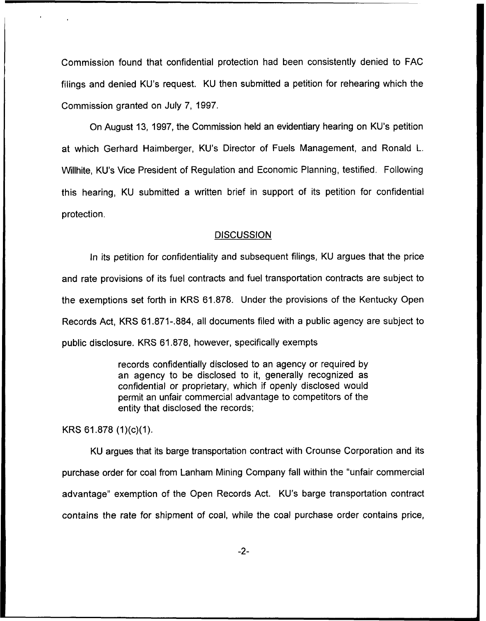Commission found that confidential protection had been consistently denied to FAC filings and denied KU's request. KU then submitted a petition for rehearing which the Commission granted on July 7, 1997.

On August 13, 1997, the Commission held an evidentiary hearing on KU's petition at which Gerhard Haimberger, KU's Director of Fuels Management, and Ronald L. Willhite, KU's Vice President of Regulation and Economic Planning, testified. Following this hearing, KU submitted a written brief in support of its petition for confidential protection.

#### **DISCUSSION**

In its petition for confidentiality and subsequent filings, KU argues that the price and rate provisions of its fuel contracts and fuel transportation contracts are subject to the exemptions set forth in KRS 61.878. Under the provisions of the Kentucky Open Records Act, KRS 61.871-.884, all documents filed with a public agency are subject to public disclosure. KRS 61.878, however, specifically exempts

> records confidentially disclosed to an agency or required by an agency to be disclosed to it, generally recognized as confidential or proprietary, which if openly disclosed would permit an unfair commercial advantage to competitors of the entity that disclosed the records;

KRS 61.878 (1)(c)(1).

KU argues that its barge transportation contract with Crounse Corporation and its purchase order for coal from Lanham Mining Company fall within the "unfair commercial advantage" exemption of the Open Records Act. KU's barge transportation contract contains the rate for shipment of coal, while the coal purchase order contains price,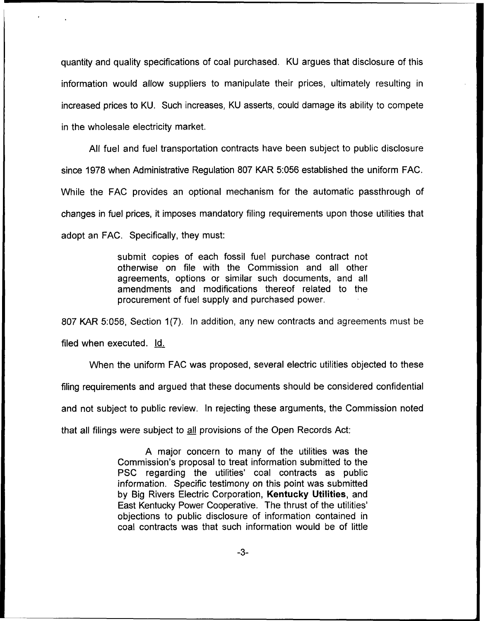quantity and quality specifications of coal purchased. KU argues that disclosure of this information would allow suppliers to manipulate their prices, ultimately resulting in increased prices to KU. Such increases, KU asserts, could damage its ability to compete in the wholesale electricity market.

All fuel and fuel transportation contracts have been subject to public disclosure since 1978 when Administrative Regulation 807 KAR 5:056 established the uniform FAC. While the FAC provides an optional mechanism for the automatic passthrough of changes in fuel prices, it imposes mandatory filing requirements upon those utilities that adopt an FAC. Specifically, they must:

> submit copies of each fossil fuel purchase contract not otherwise on file with the Commission and all other agreements, options or similar such documents, and all amendments and modifications thereof related to the procurement of fuel supply and purchased power.

807 KAR 5:056, Section 1(7). In addition, any new contracts and agreements must be filed when executed. Id.

When the uniform FAC was proposed, several electric utilities objected to these filing requirements and argued that these documents should be considered confidential and not subject to public review. In rejecting these arguments, the Commission noted that all filings were subject to all provisions of the Open Records Act:

> A major concern to many of the utilities was the Commission's proposal to treat information submitted to the PSC regarding the utilities' coal contracts as public information. Specific testimony on this point was submitted by Big Rivers Electric Corporation, Kentucky Utilities, and East Kentucky Power Cooperative. The thrust of the to public disclosure of information contained in coal contracts was that such information would be of little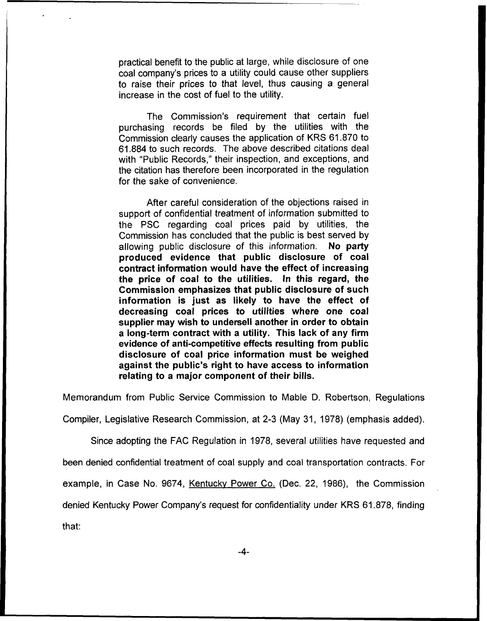practical benefit to the public at large, while disclosure of one coal company's prices to a utility could cause other suppliers to raise their prices to that level, thus causing a general increase in the cost of fuel to the utility.

The Commission's requirement that certain fuel purchasing records be filed by the utilities with the Commission clearly causes the application of KRS 61.870 to 61.884 to such records. The above described citations deal with "Public Records," their inspection, and exceptions, and the citation has therefore been incorporated in the regulation for the sake of convenience.

After careful consideration of the objections raised in support of confidential treatment of information submitted to the PSC regarding coal prices paid by utilities, the Commission has concluded that the public is best served by allowing public disclosure of this information. No party produced evidence that public disclosure of coal contract information would have the effect of increasing the price of coal to the utilities. In this regard, the Commission emphasizes that public disclosure of such information is just as likely to have the effect of decreasing coal prices to utilities where one coal supplier may wish to undersell another in order to obtain a long-term contract with a utility. This lack of any firm evidence of anti-competitive effects resulting from public disclosure of coal price information must be weighed against the public's right to have access to information relating to a major component of their bills.

Memorandum from Public Service Commission to Mable D, Robertson, Regulations

Compiler, Legislative Research Commission, at 2-3 (May 31, 1978) (emphasis added).

Since adopting the FAC Regulation in 1978, several utilities have requested and

been denied confidential treatment of coal supply and coal transportation contracts. For

example, in Case No. 9674, Kentuckv Power Co. (Dec. 22, 1986), the Commission

denied Kentucky Power Company's request for confidentiality under KRS 61.878, finding

that: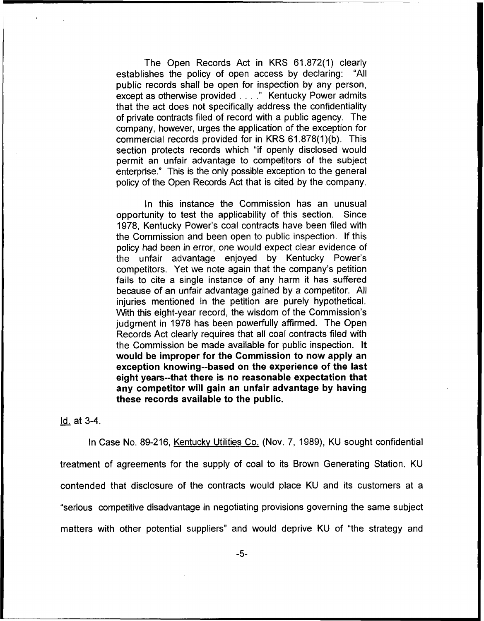The Open Records Act in KRS 61.872(1) clearly establishes the policy of open access by declaring: "All public records shall be open for inspection by any person, except as otherwise provided...." Kentucky Power admits that the act does not specifically address the confidentiality of private contracts filed of record with a public agency. The company, however, urges the application of the exception for commercial records provided for in KRS 61.878(1)(b). This section protects records which "if openly disclosed would permit an unfair advantage to competitors of the subject enterprise." This is the only possible exception to the general policy of the Open Records Act that is cited by the company.

In this instance the Commission has an unusual opportunity to test the applicability of this section. Since 1978, Kentucky Power's coal contracts have been filed with the Commission and been open to public inspection. If this policy had been in error, one would expect clear evidence of the unfair advantage enjoyed by Kentucky Power's competitors, Yet we note again that the company's petition fails to cite a single instance of any harm it has suffered because of an unfair advantage gained by a competitor. All injuries mentioned in the petition are purely hypothetical. With this eight-year record, the wisdom of the Commission's judgment in 1978 has been powerfully affirmed. The Open Records Act clearly requires that all coal contracts filed with the Commission be made available for public inspection. It would be improper for the Commission to now apply an exception knowing-based on the experience of the last eight years-that there is no reasonable expectation that any competitor will gain an unfair advantage by having these records available to the public.

### Id. at 3-4.

In Case No. 89-216, Kentucky Utilities Co. (Nov. 7, 1989), KU sought confidential treatment of agreements for the supply of coal to its Brown Generating Station. KU contended that disclosure of the contracts would place KU and its customers at a "serious competitive disadvantage in negotiating provisions governing the same subject matters with other potential suppliers" and would deprive KU of "the strategy and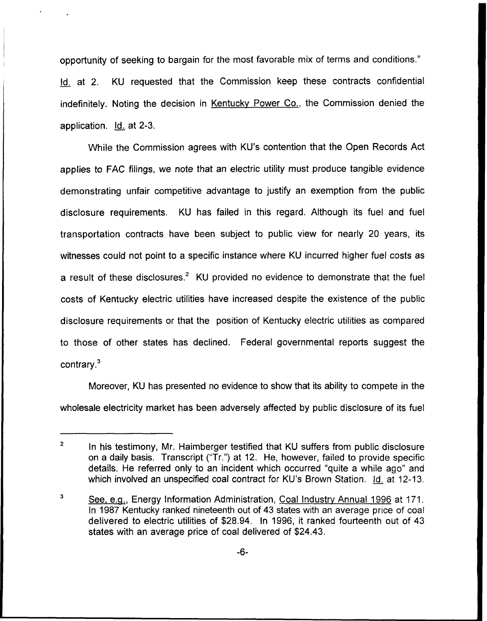opportunity of seeking to bargain for the most favorable mix of terms and conditions." Id. at 2. KU requested that the Commission keep these contracts confidential indefinitely. Noting the decision in Kentucky Power Co., the Commission denied the application. **Id.** at 2-3.

VVhile the Commission agrees with KU's contention that the Open Records Act applies to FAC filings, we note that an electric utility must produce tangible evidence demonstrating unfair competitive advantage to justify an exemption from the public disclosure requirements. KU has failed in this regard. Although its fuel and fuel transportation contracts have been subject to public view for nearly 20 years, its witnesses could not point to a specific instance where KU incurred higher fuel costs as a result of these disclosures.<sup>2</sup> KU provided no evidence to demonstrate that the fuel costs of Kentucky electric utilities have increased despite the existence of the public disclosure requirements or that the position of Kentucky electric utilities as compared to those of other states has declined. Federal governmental reports suggest the contrary. $3$ 

Moreover, KU has presented no evidence to show that its ability to compete in the wholesale electricity market has been adversely affected by public disclosure of its fuel

 $\overline{2}$ In his testimony, Mr. Haimberger testified that KU suffers from public disclosure on a daily basis. Transcript ("Tr.") at 12. He, however, failed to provide specific details. He referred only to an incident which occurred "quite a while ago" and which involved an unspecified coal contract for KU's Brown Station. Id. at 12-13.

 $\overline{\mathbf{3}}$ See, e.g., Energy Information Administration, Coal Industry Annual 1996 at 171. ln 1987 Kentucky ranked nineteenth out of 43 states with an average price of coal delivered to electric utilities of \$28.94. In 1996, it ranked fourteenth out of 43 states with an average price of coal delivered of \$24.43.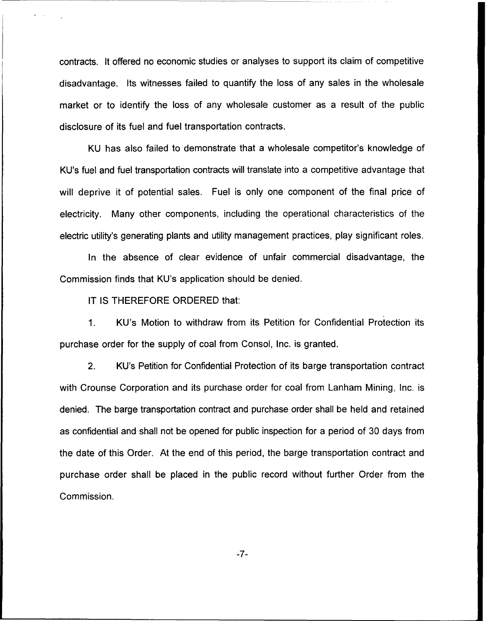contracts. It offered no economic studies or analyses to support its claim of competitive disadvantage. Its witnesses failed to quantify the loss of any sales in the wholesale market or to identify the loss of any wholesale customer as a result of the public disclosure of its fuel and fuel transportation contracts.

KU has also failed to demonstrate that a wholesale competitor's knowledge of KU's fuel and fuel transportation contracts will translate into a competitive advantage that will deprive it of potential sales. Fuel is only one component of the final price of electricity. Many other components, including the operational characteristics of the electric utility's generating plants and utility management practices, play significant roles.

In the absence of clear evidence of unfair commercial disadvantage, the Commission finds that KU's application should be denied.

IT IS THEREFORE ORDERED that:

 $1<sub>1</sub>$ KU's Motion to withdraw from its Petition for Confidential Protection its purchase order for the supply of coal from Consol, Inc. is granted.

 $2.$ KU's Petition for Confidential Protection of its barge transportation contract with Crounse Corporation and its purchase order for coal from Lanham Mining, Inc. is denied. The barge transportation contract and purchase order shall be held and retained as confidential and shall not be opened for public inspection for a period of 30 days from the date of this Order. At the end of this period, the barge transportation contract and purchase order shall be placed in the public record without further Order from the Commission.

-7-